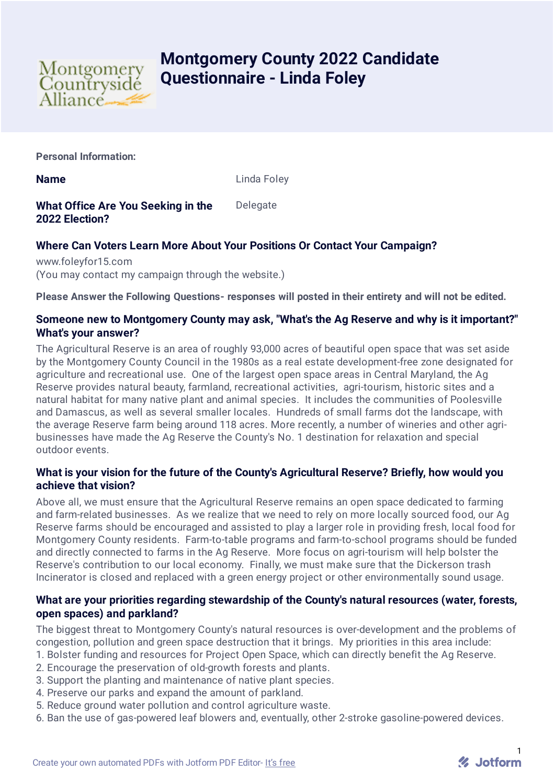

# **Montgomery County 2022 Candidate Questionnaire - Linda Foley**

**Personal Information:**

**Name** Linda Foley

**What Office Are You Seeking in the 2022 Election?** Delegate

# **Where Can Voters Learn More About Your Positions Or Contact Your Campaign?**

www.foleyfor15.com (You may contact my campaign through the website.)

**Please Answer the Following Questions- responses will posted in their entirety and will not be edited.**

# **Someone new to Montgomery County may ask, "What's the Ag Reserve and why is it important?" What's your answer?**

The Agricultural Reserve is an area of roughly 93,000 acres of beautiful open space that was set aside by the Montgomery County Council in the 1980s as a real estate development-free zone designated for agriculture and recreational use. One of the largest open space areas in Central Maryland, the Ag Reserve provides natural beauty, farmland, recreational activities, agri-tourism, historic sites and a natural habitat for many native plant and animal species. It includes the communities of Poolesville and Damascus, as well as several smaller locales. Hundreds of small farms dot the landscape, with the average Reserve farm being around 118 acres. More recently, a number of wineries and other agribusinesses have made the Ag Reserve the County's No. 1 destination for relaxation and special outdoor events.

# **What is your vision for the future of the County's Agricultural Reserve? Briefly, how would you achieve that vision?**

Above all, we must ensure that the Agricultural Reserve remains an open space dedicated to farming and farm-related businesses. As we realize that we need to rely on more locally sourced food, our Ag Reserve farms should be encouraged and assisted to play a larger role in providing fresh, local food for Montgomery County residents. Farm-to-table programs and farm-to-school programs should be funded and directly connected to farms in the Ag Reserve. More focus on agri-tourism will help bolster the Reserve's contribution to our local economy. Finally, we must make sure that the Dickerson trash Incinerator is closed and replaced with a green energy project or other environmentally sound usage.

# **What are your priorities regarding stewardship of the County's natural resources (water, forests, open spaces) and parkland?**

The biggest threat to Montgomery County's natural resources is over-development and the problems of congestion, pollution and green space destruction that it brings. My priorities in this area include:

- 1. Bolster funding and resources for Project Open Space, which can directly benefit the Ag Reserve.
- 2. Encourage the preservation of old-growth forests and plants.
- 3. Support the planting and maintenance of native plant species.
- 4. Preserve our parks and expand the amount of parkland.
- 5. Reduce ground water pollution and control agriculture waste.
- 6. Ban the use of gas-powered leaf blowers and, eventually, other 2-stroke gasoline-powered devices.

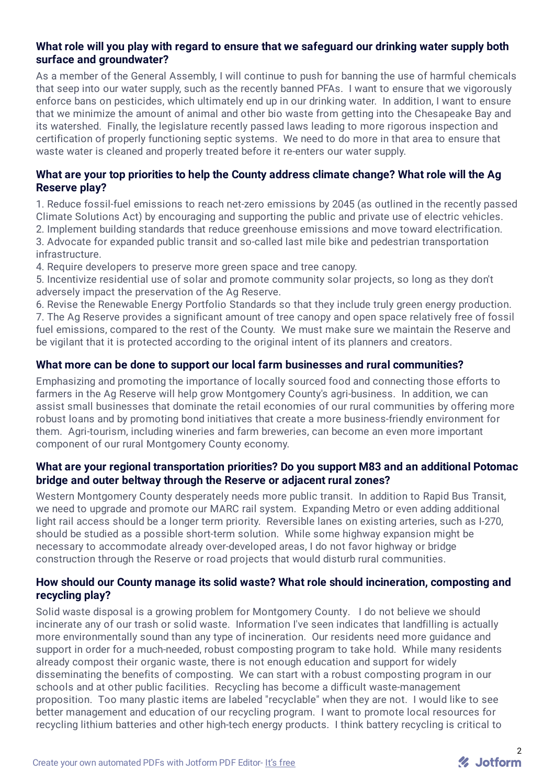# **What role will you play with regard to ensure that we safeguard our drinking water supply both surface and groundwater?**

As a member of the General Assembly, I will continue to push for banning the use of harmful chemicals that seep into our water supply, such as the recently banned PFAs. I want to ensure that we vigorously enforce bans on pesticides, which ultimately end up in our drinking water. In addition, I want to ensure that we minimize the amount of animal and other bio waste from getting into the Chesapeake Bay and its watershed. Finally, the legislature recently passed laws leading to more rigorous inspection and certification of properly functioning septic systems. We need to do more in that area to ensure that waste water is cleaned and properly treated before it re-enters our water supply.

## **What are your top priorities to help the County address climate change? What role will the Ag Reserve play?**

1. Reduce fossil-fuel emissions to reach net-zero emissions by 2045 (as outlined in the recently passed Climate Solutions Act) by encouraging and supporting the public and private use of electric vehicles. 2. Implement building standards that reduce greenhouse emissions and move toward electrification. 3. Advocate for expanded public transit and so-called last mile bike and pedestrian transportation infrastructure.

4. Require developers to preserve more green space and tree canopy.

5. Incentivize residential use of solar and promote community solar projects, so long as they don't adversely impact the preservation of the Ag Reserve.

6. Revise the Renewable Energy Portfolio Standards so that they include truly green energy production. 7. The Ag Reserve provides a significant amount of tree canopy and open space relatively free of fossil fuel emissions, compared to the rest of the County. We must make sure we maintain the Reserve and be vigilant that it is protected according to the original intent of its planners and creators.

#### **What more can be done to support our local farm businesses and rural communities?**

Emphasizing and promoting the importance of locally sourced food and connecting those efforts to farmers in the Ag Reserve will help grow Montgomery County's agri-business. In addition, we can assist small businesses that dominate the retail economies of our rural communities by offering more robust loans and by promoting bond initiatives that create a more business-friendly environment for them. Agri-tourism, including wineries and farm breweries, can become an even more important component of our rural Montgomery County economy.

#### **What are your regional transportation priorities? Do you support M83 and an additional Potomac bridge and outer beltway through the Reserve or adjacent rural zones?**

Western Montgomery County desperately needs more public transit. In addition to Rapid Bus Transit, we need to upgrade and promote our MARC rail system. Expanding Metro or even adding additional light rail access should be a longer term priority. Reversible lanes on existing arteries, such as I-270, should be studied as a possible short-term solution. While some highway expansion might be necessary to accommodate already over-developed areas, I do not favor highway or bridge construction through the Reserve or road projects that would disturb rural communities.

#### **How should our County manage its solid waste? What role should incineration, composting and recycling play?**

Solid waste disposal is a growing problem for Montgomery County. I do not believe we should incinerate any of our trash or solid waste. Information I've seen indicates that landfilling is actually more environmentally sound than any type of incineration. Our residents need more guidance and support in order for a much-needed, robust composting program to take hold. While many residents already compost their organic waste, there is not enough education and support for widely disseminating the benefits of composting. We can start with a robust composting program in our schools and at other public facilities. Recycling has become a difficult waste-management proposition. Too many plastic items are labeled "recyclable" when they are not. I would like to see better management and education of our recycling program. I want to promote local resources for recycling lithium batteries and other high-tech energy products. I think battery recycling is critical to